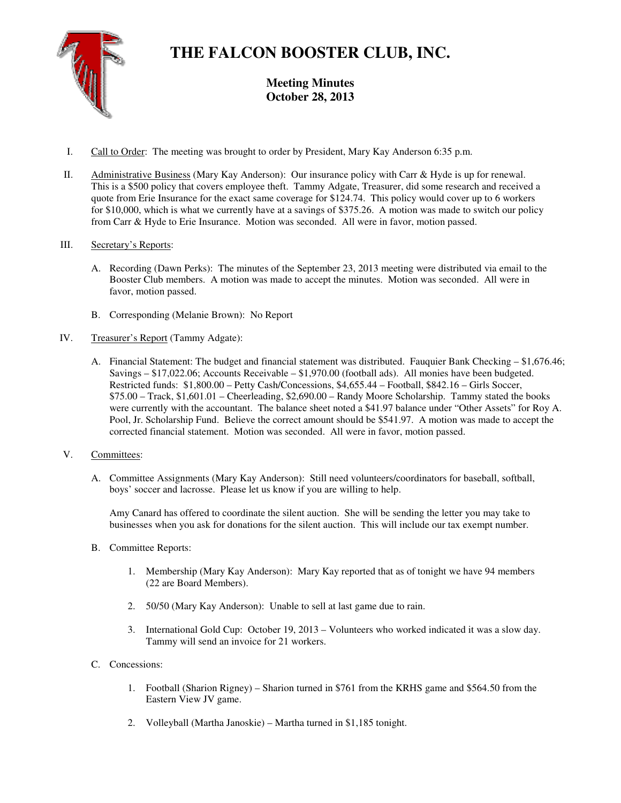

# **THE FALCON BOOSTER CLUB, INC.**

**Meeting Minutes October 28, 2013** 

- I. Call to Order: The meeting was brought to order by President, Mary Kay Anderson 6:35 p.m.
- II. Administrative Business (Mary Kay Anderson): Our insurance policy with Carr & Hyde is up for renewal. This is a \$500 policy that covers employee theft. Tammy Adgate, Treasurer, did some research and received a quote from Erie Insurance for the exact same coverage for \$124.74. This policy would cover up to 6 workers for \$10,000, which is what we currently have at a savings of \$375.26. A motion was made to switch our policy from Carr & Hyde to Erie Insurance. Motion was seconded. All were in favor, motion passed.

## III. Secretary's Reports:

- A. Recording (Dawn Perks): The minutes of the September 23, 2013 meeting were distributed via email to the Booster Club members. A motion was made to accept the minutes. Motion was seconded. All were in favor, motion passed.
- B. Corresponding (Melanie Brown): No Report
- IV. Treasurer's Report (Tammy Adgate):
	- A. Financial Statement: The budget and financial statement was distributed. Fauquier Bank Checking \$1,676.46; Savings – \$17,022.06; Accounts Receivable – \$1,970.00 (football ads). All monies have been budgeted. Restricted funds: \$1,800.00 – Petty Cash/Concessions, \$4,655.44 – Football, \$842.16 – Girls Soccer, \$75.00 – Track, \$1,601.01 – Cheerleading, \$2,690.00 – Randy Moore Scholarship. Tammy stated the books were currently with the accountant. The balance sheet noted a \$41.97 balance under "Other Assets" for Roy A. Pool, Jr. Scholarship Fund. Believe the correct amount should be \$541.97. A motion was made to accept the corrected financial statement. Motion was seconded. All were in favor, motion passed.
- V. Committees:
	- A. Committee Assignments (Mary Kay Anderson): Still need volunteers/coordinators for baseball, softball, boys' soccer and lacrosse. Please let us know if you are willing to help.

Amy Canard has offered to coordinate the silent auction. She will be sending the letter you may take to businesses when you ask for donations for the silent auction. This will include our tax exempt number.

- B. Committee Reports:
	- 1. Membership (Mary Kay Anderson): Mary Kay reported that as of tonight we have 94 members (22 are Board Members).
	- 2. 50/50 (Mary Kay Anderson): Unable to sell at last game due to rain.
	- 3. International Gold Cup: October 19, 2013 Volunteers who worked indicated it was a slow day. Tammy will send an invoice for 21 workers.
- C. Concessions:
	- 1. Football (Sharion Rigney) Sharion turned in \$761 from the KRHS game and \$564.50 from the Eastern View JV game.
	- 2. Volleyball (Martha Janoskie) Martha turned in \$1,185 tonight.